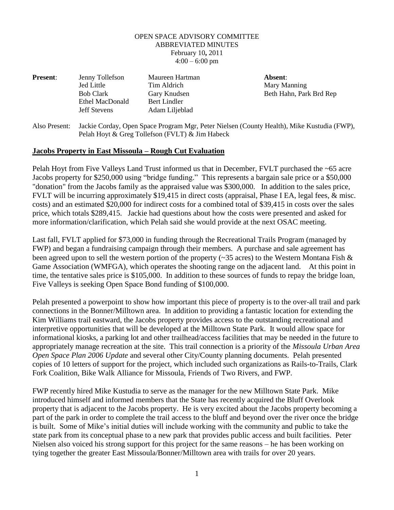## OPEN SPACE ADVISORY COMMITTEE ABBREVIATED MINUTES February 10**,** 2011  $4:00 - 6:00$  pm

| <b>Present:</b> | Jenny Tollefson     | Maureen Hartman | Absent:                 |
|-----------------|---------------------|-----------------|-------------------------|
|                 | <b>Jed Little</b>   | Tim Aldrich     | Mary Manning            |
|                 | <b>Bob Clark</b>    | Gary Knudsen    | Beth Hahn, Park Brd Rep |
|                 | Ethel MacDonald     | Bert Lindler    |                         |
|                 | <b>Jeff Stevens</b> | Adam Liljeblad  |                         |
|                 |                     |                 |                         |

Also Present: Jackie Corday, Open Space Program Mgr, Peter Nielsen (County Health), Mike Kustudia (FWP), Pelah Hoyt & Greg Tollefson (FVLT) & Jim Habeck

## **Jacobs Property in East Missoula – Rough Cut Evaluation**

Pelah Hoyt from Five Valleys Land Trust informed us that in December, FVLT purchased the ~65 acre Jacobs property for \$250,000 using "bridge funding." This represents a bargain sale price or a \$50,000 "donation" from the Jacobs family as the appraised value was \$300,000. In addition to the sales price, FVLT will be incurring approximately \$19,415 in direct costs (appraisal, Phase I EA, legal fees, & misc. costs) and an estimated \$20,000 for indirect costs for a combined total of \$39,415 in costs over the sales price, which totals \$289,415. Jackie had questions about how the costs were presented and asked for more information/clarification, which Pelah said she would provide at the next OSAC meeting.

Last fall, FVLT applied for \$73,000 in funding through the Recreational Trails Program (managed by FWP) and began a fundraising campaign through their members. A purchase and sale agreement has been agreed upon to sell the western portion of the property (~35 acres) to the Western Montana Fish & Game Association (WMFGA), which operates the shooting range on the adjacent land. At this point in time, the tentative sales price is \$105,000. In addition to these sources of funds to repay the bridge loan, Five Valleys is seeking Open Space Bond funding of \$100,000.

Pelah presented a powerpoint to show how important this piece of property is to the over-all trail and park connections in the Bonner/Milltown area. In addition to providing a fantastic location for extending the Kim Williams trail eastward, the Jacobs property provides access to the outstanding recreational and interpretive opportunities that will be developed at the Milltown State Park. It would allow space for informational kiosks, a parking lot and other trailhead/access facilities that may be needed in the future to appropriately manage recreation at the site. This trail connection is a priority of the *Missoula Urban Area Open Space Plan 2006 Update* and several other City/County planning documents. Pelah presented copies of 10 letters of support for the project, which included such organizations as Rails-to-Trails, Clark Fork Coalition, Bike Walk Alliance for Missoula, Friends of Two Rivers, and FWP.

FWP recently hired Mike Kustudia to serve as the manager for the new Milltown State Park. Mike introduced himself and informed members that the State has recently acquired the Bluff Overlook property that is adjacent to the Jacobs property. He is very excited about the Jacobs property becoming a part of the park in order to complete the trail access to the bluff and beyond over the river once the bridge is built. Some of Mike's initial duties will include working with the community and public to take the state park from its conceptual phase to a new park that provides public access and built facilities. Peter Nielsen also voiced his strong support for this project for the same reasons – he has been working on tying together the greater East Missoula/Bonner/Milltown area with trails for over 20 years.